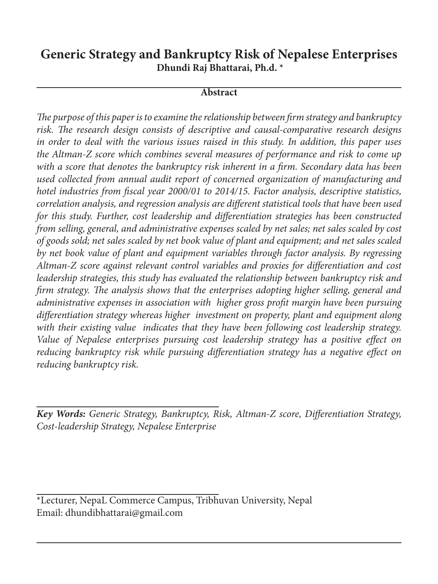# **Generic Strategy and Bankruptcy Risk of Nepalese Enterprises Dhundi Raj Bhattarai, Ph.d. \***

#### **Abstract**

*The purpose of this paper is to examine the relationship between firm strategy and bankruptcy risk. The research design consists of descriptive and causal-comparative research designs in order to deal with the various issues raised in this study. In addition, this paper uses the Altman-Z score which combines several measures of performance and risk to come up with a score that denotes the bankruptcy risk inherent in a firm. Secondary data has been used collected from annual audit report of concerned organization of manufacturing and hotel industries from fiscal year 2000/01 to 2014/15. Factor analysis, descriptive statistics, correlation analysis, and regression analysis are different statistical tools that have been used for this study. Further, cost leadership and differentiation strategies has been constructed from selling, general, and administrative expenses scaled by net sales; net sales scaled by cost of goods sold; net sales scaled by net book value of plant and equipment; and net sales scaled by net book value of plant and equipment variables through factor analysis. By regressing Altman-Z score against relevant control variables and proxies for differentiation and cost leadership strategies, this study has evaluated the relationship between bankruptcy risk and firm strategy. The analysis shows that the enterprises adopting higher selling, general and administrative expenses in association with higher gross profit margin have been pursuing differentiation strategy whereas higher investment on property, plant and equipment along with their existing value indicates that they have been following cost leadership strategy. Value of Nepalese enterprises pursuing cost leadership strategy has a positive effect on reducing bankruptcy risk while pursuing differentiation strategy has a negative effect on reducing bankruptcy risk.*

*Key Words: Generic Strategy, Bankruptcy, Risk, Altman-Z score, Differentiation Strategy, Cost-leadership Strategy, Nepalese Enterprise*

\*Lecturer, NepaL Commerce Campus, Tribhuvan University, Nepal Email: dhundibhattarai@gmail.com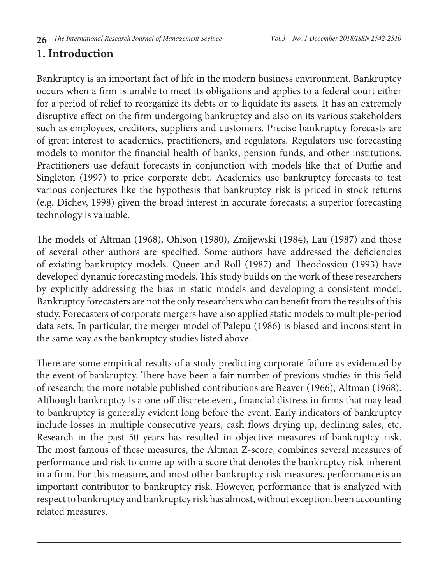# **1. Introduction**

Bankruptcy is an important fact of life in the modern business environment. Bankruptcy occurs when a firm is unable to meet its obligations and applies to a federal court either for a period of relief to reorganize its debts or to liquidate its assets. It has an extremely disruptive effect on the firm undergoing bankruptcy and also on its various stakeholders such as employees, creditors, suppliers and customers. Precise bankruptcy forecasts are of great interest to academics, practitioners, and regulators. Regulators use forecasting models to monitor the financial health of banks, pension funds, and other institutions. Practitioners use default forecasts in conjunction with models like that of Duffie and Singleton (1997) to price corporate debt. Academics use bankruptcy forecasts to test various conjectures like the hypothesis that bankruptcy risk is priced in stock returns (e.g. Dichev, 1998) given the broad interest in accurate forecasts; a superior forecasting technology is valuable.

The models of Altman (1968), Ohlson (1980), Zmijewski (1984), Lau (1987) and those of several other authors are specified. Some authors have addressed the deficiencies of existing bankruptcy models. Queen and Roll (1987) and Theodossiou (1993) have developed dynamic forecasting models. This study builds on the work of these researchers by explicitly addressing the bias in static models and developing a consistent model. Bankruptcy forecasters are not the only researchers who can benefit from the results of this study. Forecasters of corporate mergers have also applied static models to multiple-period data sets. In particular, the merger model of Palepu (1986) is biased and inconsistent in the same way as the bankruptcy studies listed above.

There are some empirical results of a study predicting corporate failure as evidenced by the event of bankruptcy. There have been a fair number of previous studies in this field of research; the more notable published contributions are Beaver (1966), Altman (1968). Although bankruptcy is a one-off discrete event, financial distress in firms that may lead to bankruptcy is generally evident long before the event. Early indicators of bankruptcy include losses in multiple consecutive years, cash flows drying up, declining sales, etc. Research in the past 50 years has resulted in objective measures of bankruptcy risk. The most famous of these measures, the Altman Z-score, combines several measures of performance and risk to come up with a score that denotes the bankruptcy risk inherent in a firm. For this measure, and most other bankruptcy risk measures, performance is an important contributor to bankruptcy risk. However, performance that is analyzed with respect to bankruptcy and bankruptcy risk has almost, without exception, been accounting related measures.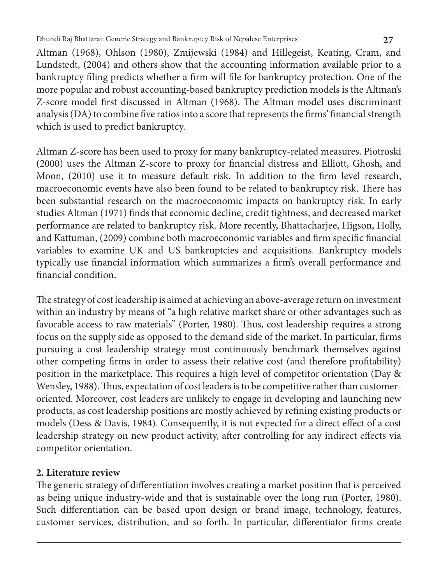Altman (1968), Ohlson (1980), Zmijewski (1984) and Hillegeist, Keating, Cram, and Lundstedt, (2004) and others show that the accounting information available prior to a bankruptcy filing predicts whether a firm will file for bankruptcy protection. One of the more popular and robust accounting-based bankruptcy prediction models is the Altman's Z-score model first discussed in Altman (1968). The Altman model uses discriminant analysis (DA) to combine five ratios into a score that represents the firms' financial strength which is used to predict bankruptcy.

Altman Z-score has been used to proxy for many bankruptcy-related measures. Piotroski (2000) uses the Altman Z-score to proxy for financial distress and Elliott, Ghosh, and Moon, (2010) use it to measure default risk. In addition to the firm level research, macroeconomic events have also been found to be related to bankruptcy risk. There has been substantial research on the macroeconomic impacts on bankruptcy risk. In early studies Altman (1971) finds that economic decline, credit tightness, and decreased market performance are related to bankruptcy risk. More recently, Bhattacharjee, Higson, Holly, and Kattuman, (2009) combine both macroeconomic variables and firm specific financial variables to examine UK and US bankruptcies and acquisitions. Bankruptcy models typically use financial information which summarizes a firm's overall performance and financial condition.

The strategy of cost leadership is aimed at achieving an above-average return on investment within an industry by means of "a high relative market share or other advantages such as favorable access to raw materials" (Porter, 1980). Thus, cost leadership requires a strong focus on the supply side as opposed to the demand side of the market. In particular, firms pursuing a cost leadership strategy must continuously benchmark themselves against other competing firms in order to assess their relative cost (and therefore profitability) position in the marketplace. This requires a high level of competitor orientation (Day & Wensley, 1988). Thus, expectation of cost leaders is to be competitive rather than customeroriented. Moreover, cost leaders are unlikely to engage in developing and launching new products, as cost leadership positions are mostly achieved by refining existing products or models (Dess & Davis, 1984). Consequently, it is not expected for a direct effect of a cost leadership strategy on new product activity, after controlling for any indirect effects via competitor orientation.

## **2. Literature review**

The generic strategy of differentiation involves creating a market position that is perceived as being unique industry-wide and that is sustainable over the long run (Porter, 1980). Such differentiation can be based upon design or brand image, technology, features, customer services, distribution, and so forth. In particular, differentiator firms create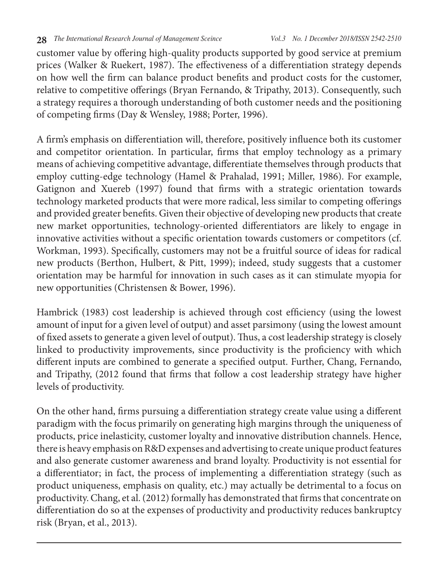customer value by offering high-quality products supported by good service at premium prices (Walker & Ruekert, 1987). The effectiveness of a differentiation strategy depends on how well the firm can balance product benefits and product costs for the customer, relative to competitive offerings (Bryan Fernando, & Tripathy, 2013). Consequently, such a strategy requires a thorough understanding of both customer needs and the positioning of competing firms (Day & Wensley, 1988; Porter, 1996).

A firm's emphasis on differentiation will, therefore, positively influence both its customer and competitor orientation. In particular, firms that employ technology as a primary means of achieving competitive advantage, differentiate themselves through products that employ cutting-edge technology (Hamel & Prahalad, 1991; Miller, 1986). For example, Gatignon and Xuereb (1997) found that firms with a strategic orientation towards technology marketed products that were more radical, less similar to competing offerings and provided greater benefits. Given their objective of developing new products that create new market opportunities, technology-oriented differentiators are likely to engage in innovative activities without a specific orientation towards customers or competitors (cf. Workman, 1993). Specifically, customers may not be a fruitful source of ideas for radical new products (Berthon, Hulbert, & Pitt, 1999); indeed, study suggests that a customer orientation may be harmful for innovation in such cases as it can stimulate myopia for new opportunities (Christensen & Bower, 1996).

Hambrick (1983) cost leadership is achieved through cost efficiency (using the lowest amount of input for a given level of output) and asset parsimony (using the lowest amount of fixed assets to generate a given level of output). Thus, a cost leadership strategy is closely linked to productivity improvements, since productivity is the proficiency with which different inputs are combined to generate a specified output. Further, Chang, Fernando, and Tripathy, (2012 found that firms that follow a cost leadership strategy have higher levels of productivity.

On the other hand, firms pursuing a differentiation strategy create value using a different paradigm with the focus primarily on generating high margins through the uniqueness of products, price inelasticity, customer loyalty and innovative distribution channels. Hence, there is heavy emphasis on R&D expenses and advertising to create unique product features and also generate customer awareness and brand loyalty. Productivity is not essential for a differentiator; in fact, the process of implementing a differentiation strategy (such as product uniqueness, emphasis on quality, etc.) may actually be detrimental to a focus on productivity. Chang, et al. (2012) formally has demonstrated that firms that concentrate on differentiation do so at the expenses of productivity and productivity reduces bankruptcy risk (Bryan, et al., 2013).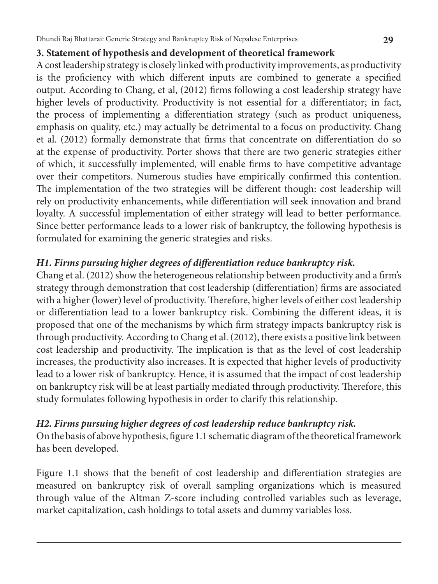### **3. Statement of hypothesis and development of theoretical framework**

A cost leadership strategy is closely linked with productivity improvements, as productivity is the proficiency with which different inputs are combined to generate a specified output. According to Chang, et al, (2012) firms following a cost leadership strategy have higher levels of productivity. Productivity is not essential for a differentiator; in fact, the process of implementing a differentiation strategy (such as product uniqueness, emphasis on quality, etc.) may actually be detrimental to a focus on productivity. Chang et al. (2012) formally demonstrate that firms that concentrate on differentiation do so at the expense of productivity. Porter shows that there are two generic strategies either of which, it successfully implemented, will enable firms to have competitive advantage over their competitors. Numerous studies have empirically confirmed this contention. The implementation of the two strategies will be different though: cost leadership will rely on productivity enhancements, while differentiation will seek innovation and brand loyalty. A successful implementation of either strategy will lead to better performance. Since better performance leads to a lower risk of bankruptcy, the following hypothesis is formulated for examining the generic strategies and risks.

## *H1. Firms pursuing higher degrees of differentiation reduce bankruptcy risk.*

Chang et al. (2012) show the heterogeneous relationship between productivity and a firm's strategy through demonstration that cost leadership (differentiation) firms are associated with a higher (lower) level of productivity. Therefore, higher levels of either cost leadership or differentiation lead to a lower bankruptcy risk. Combining the different ideas, it is proposed that one of the mechanisms by which firm strategy impacts bankruptcy risk is through productivity. According to Chang et al. (2012), there exists a positive link between cost leadership and productivity. The implication is that as the level of cost leadership increases, the productivity also increases. It is expected that higher levels of productivity lead to a lower risk of bankruptcy. Hence, it is assumed that the impact of cost leadership on bankruptcy risk will be at least partially mediated through productivity. Therefore, this study formulates following hypothesis in order to clarify this relationship.

#### *H2. Firms pursuing higher degrees of cost leadership reduce bankruptcy risk.*

On the basis of above hypothesis, figure 1.1 schematic diagram of the theoretical framework has been developed.

Figure 1.1 shows that the benefit of cost leadership and differentiation strategies are measured on bankruptcy risk of overall sampling organizations which is measured through value of the Altman Z-score including controlled variables such as leverage, market capitalization, cash holdings to total assets and dummy variables loss.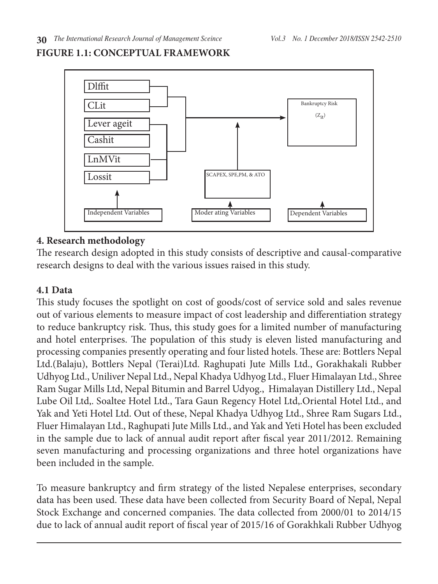# **FIGURE 1.1: CONCEPTUAL FRAMEWORK**



#### **4. Research methodology**

The research design adopted in this study consists of descriptive and causal-comparative research designs to deal with the various issues raised in this study.

#### **4.1 Data**

This study focuses the spotlight on cost of goods/cost of service sold and sales revenue out of various elements to measure impact of cost leadership and differentiation strategy to reduce bankruptcy risk. Thus, this study goes for a limited number of manufacturing and hotel enterprises. The population of this study is eleven listed manufacturing and processing companies presently operating and four listed hotels. These are: Bottlers Nepal Ltd.(Balaju), Bottlers Nepal (Terai)Ltd. Raghupati Jute Mills Ltd., Gorakhakali Rubber Udhyog Ltd., Uniliver Nepal Ltd., Nepal Khadya Udhyog Ltd., Fluer Himalayan Ltd., Shree Ram Sugar Mills Ltd, Nepal Bitumin and Barrel Udyog., Himalayan Distillery Ltd., Nepal Lube Oil Ltd,. Soaltee Hotel Ltd., Tara Gaun Regency Hotel Ltd,.Oriental Hotel Ltd., and Yak and Yeti Hotel Ltd. Out of these, Nepal Khadya Udhyog Ltd., Shree Ram Sugars Ltd., Fluer Himalayan Ltd., Raghupati Jute Mills Ltd., and Yak and Yeti Hotel has been excluded in the sample due to lack of annual audit report after fiscal year 2011/2012. Remaining seven manufacturing and processing organizations and three hotel organizations have been included in the sample.

To measure bankruptcy and firm strategy of the listed Nepalese enterprises, secondary data has been used. These data have been collected from Security Board of Nepal, Nepal Stock Exchange and concerned companies. The data collected from 2000/01 to 2014/15 due to lack of annual audit report of fiscal year of 2015/16 of Gorakhkali Rubber Udhyog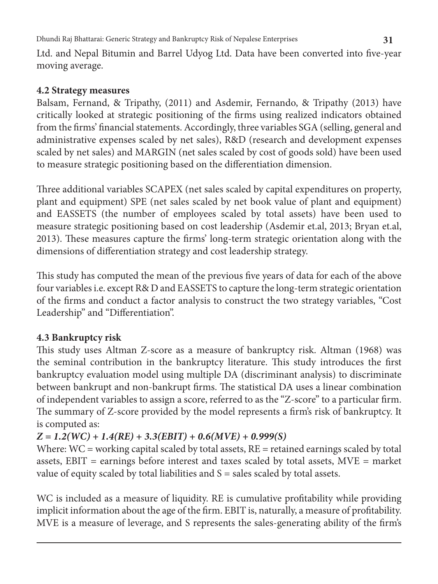Ltd. and Nepal Bitumin and Barrel Udyog Ltd. Data have been converted into five-year moving average.

### **4.2 Strategy measures**

Balsam, Fernand, & Tripathy, (2011) and Asdemir, Fernando, & Tripathy (2013) have critically looked at strategic positioning of the firms using realized indicators obtained from the firms' financial statements. Accordingly, three variables SGA (selling, general and administrative expenses scaled by net sales), R&D (research and development expenses scaled by net sales) and MARGIN (net sales scaled by cost of goods sold) have been used to measure strategic positioning based on the differentiation dimension.

Three additional variables SCAPEX (net sales scaled by capital expenditures on property, plant and equipment) SPE (net sales scaled by net book value of plant and equipment) and EASSETS (the number of employees scaled by total assets) have been used to measure strategic positioning based on cost leadership (Asdemir et.al, 2013; Bryan et.al, 2013). These measures capture the firms' long-term strategic orientation along with the dimensions of differentiation strategy and cost leadership strategy.

This study has computed the mean of the previous five years of data for each of the above four variables i.e. except R& D and EASSETS to capture the long-term strategic orientation of the firms and conduct a factor analysis to construct the two strategy variables, "Cost Leadership" and "Differentiation".

# **4.3 Bankruptcy risk**

This study uses Altman Z-score as a measure of bankruptcy risk. Altman (1968) was the seminal contribution in the bankruptcy literature. This study introduces the first bankruptcy evaluation model using multiple DA (discriminant analysis) to discriminate between bankrupt and non-bankrupt firms. The statistical DA uses a linear combination of independent variables to assign a score, referred to as the "Z-score" to a particular firm. The summary of Z-score provided by the model represents a firm's risk of bankruptcy. It is computed as:

# *Z = 1.2(WC) + 1.4(RE) + 3.3(EBIT) + 0.6(MVE) + 0.999(S)*

Where: WC = working capital scaled by total assets, RE = retained earnings scaled by total assets, EBIT = earnings before interest and taxes scaled by total assets, MVE = market value of equity scaled by total liabilities and  $S =$  sales scaled by total assets.

WC is included as a measure of liquidity. RE is cumulative profitability while providing implicit information about the age of the firm. EBIT is, naturally, a measure of profitability. MVE is a measure of leverage, and S represents the sales-generating ability of the firm's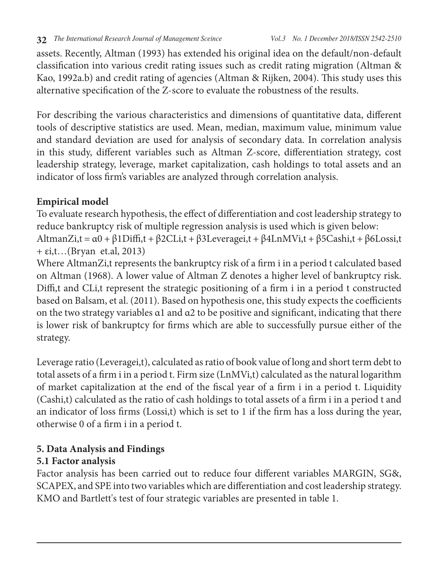assets. Recently, Altman (1993) has extended his original idea on the default/non-default classification into various credit rating issues such as credit rating migration (Altman & Kao, 1992a.b) and credit rating of agencies (Altman & Rijken, 2004). This study uses this alternative specification of the Z-score to evaluate the robustness of the results.

For describing the various characteristics and dimensions of quantitative data, different tools of descriptive statistics are used. Mean, median, maximum value, minimum value and standard deviation are used for analysis of secondary data. In correlation analysis in this study, different variables such as Altman Z-score, differentiation strategy, cost leadership strategy, leverage, market capitalization, cash holdings to total assets and an indicator of loss firm's variables are analyzed through correlation analysis.

## **Empirical model**

To evaluate research hypothesis, the effect of differentiation and cost leadership strategy to reduce bankruptcy risk of multiple regression analysis is used which is given below:

AltmanZi,t = α0 + β1Diffi,t + β2CLi,t + β3Leveragei,t + β4LnMVi,t + β5Cashi,t + β6Lossi,t + εi,t…(Bryan et.al, 2013)

Where AltmanZi,t represents the bankruptcy risk of a firm i in a period t calculated based on Altman (1968). A lower value of Altman Z denotes a higher level of bankruptcy risk. Diffi,t and CLi,t represent the strategic positioning of a firm i in a period t constructed based on Balsam, et al. (2011). Based on hypothesis one, this study expects the coefficients on the two strategy variables  $\alpha$ 1 and  $\alpha$ 2 to be positive and significant, indicating that there is lower risk of bankruptcy for firms which are able to successfully pursue either of the strategy.

Leverage ratio (Leveragei,t), calculated as ratio of book value of long and short term debt to total assets of a firm i in a period t. Firm size (LnMVi,t) calculated as the natural logarithm of market capitalization at the end of the fiscal year of a firm i in a period t. Liquidity (Cashi,t) calculated as the ratio of cash holdings to total assets of a firm i in a period t and an indicator of loss firms (Lossi,t) which is set to 1 if the firm has a loss during the year, otherwise 0 of a firm i in a period t.

# **5. Data Analysis and Findings**

# **5.1 Factor analysis**

Factor analysis has been carried out to reduce four different variables MARGIN, SG&, SCAPEX, and SPE into two variables which are differentiation and cost leadership strategy. KMO and Bartlett's test of four strategic variables are presented in table 1.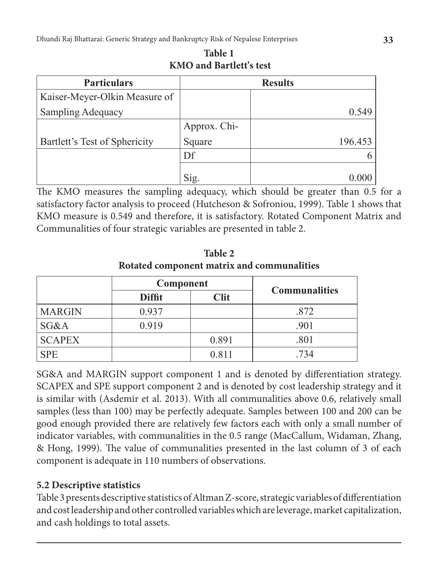| <b>Particulars</b>            |                         | <b>Results</b> |
|-------------------------------|-------------------------|----------------|
| Kaiser-Meyer-Olkin Measure of |                         |                |
| <b>Sampling Adequacy</b>      |                         | 0.549          |
|                               | Approx. Chi-            |                |
| Bartlett's Test of Sphericity | Square                  | 196.453        |
|                               | Df                      |                |
|                               | $\overline{\text{sig}}$ |                |

The KMO measures the sampling adequacy, which should be greater than 0.5 for a satisfactory factor analysis to proceed (Hutcheson & Sofroniou, 1999). Table 1 shows that KMO measure is 0.549 and therefore, it is satisfactory. Rotated Component Matrix and Communalities of four strategic variables are presented in table 2.

**Component**<br>**Diffit Clit Communalities** MARGIN 0.937 .872  $SG&A$  0.919 .901  $SCAPEX$  0.891 .801 SPE 10.811 .734

**Table 2 Rotated component matrix and communalities**

SG&A and MARGIN support component 1 and is denoted by differentiation strategy. SCAPEX and SPE support component 2 and is denoted by cost leadership strategy and it is similar with (Asdemir et al. 2013). With all communalities above 0.6, relatively small samples (less than 100) may be perfectly adequate. Samples between 100 and 200 can be good enough provided there are relatively few factors each with only a small number of indicator variables, with communalities in the 0.5 range (MacCallum, Widaman, Zhang, & Hong, 1999). The value of communalities presented in the last column of 3 of each component is adequate in 110 numbers of observations.

## **5.2 Descriptive statistics**

Table 3 presents descriptive statistics of Altman Z-score, strategic variables of differentiation and cost leadership and other controlled variables which are leverage, market capitalization, and cash holdings to total assets.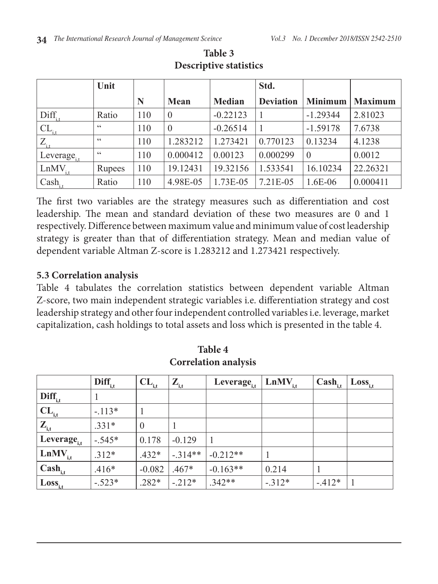|                   | Unit   |     |          |               | Std.             |                |                |
|-------------------|--------|-----|----------|---------------|------------------|----------------|----------------|
|                   |        | N   | Mean     | <b>Median</b> | <b>Deviation</b> | <b>Minimum</b> | <b>Maximum</b> |
| $Diff_{i}$        | Ratio  | 110 | $\Omega$ | $-0.22123$    |                  | $-1.29344$     | 2.81023        |
| $CL_{\text{it}}$  | 66     | 110 | $\Omega$ | $-0.26514$    | 1                | $-1.59178$     | 7.6738         |
| $Z_{\rm it}$      | 66     | 110 | 1.283212 | 1.273421      | 0.770123         | 0.13234        | 4.1238         |
| Leverage.         | 66     | 110 | 0.000412 | 0.00123       | 0.000299         | $\theta$       | 0.0012         |
| LnMV <sub>i</sub> | Rupees | 110 | 19.12431 | 19.32156      | 1.533541         | 16.10234       | 22.26321       |
| $Cash_{i,t}$      | Ratio  | 110 | 4.98E-05 | 1.73E-05      | 7.21E-05         | 1.6E-06        | 0.000411       |

**Table 3 Descriptive statistics**

The first two variables are the strategy measures such as differentiation and cost leadership. The mean and standard deviation of these two measures are 0 and 1 respectively. Difference between maximum value and minimum value of cost leadership strategy is greater than that of differentiation strategy. Mean and median value of dependent variable Altman Z-score is 1.283212 and 1.273421 respectively.

#### **5.3 Correlation analysis**

Table 4 tabulates the correlation statistics between dependent variable Altman Z-score, two main independent strategic variables i.e. differentiation strategy and cost leadership strategy and other four independent controlled variables i.e. leverage, market capitalization, cash holdings to total assets and loss which is presented in the table 4.

|                             | $\mathbf{Diff}_{i,t}$ | ${}^{\dagger}$ $CL_{i,t}$ | $\mathbf{Z}_{\mathbf{I},\mathbf{t}}$ | Leverage <sub>i,t</sub> | $\vert$ LnMV <sub>i,t</sub> | $\mathbf{Cash}_{i,t}$ | $+ Loss_{i,t}$ |
|-----------------------------|-----------------------|---------------------------|--------------------------------------|-------------------------|-----------------------------|-----------------------|----------------|
| $\mathbf{Diff}_{i,t}$       |                       |                           |                                      |                         |                             |                       |                |
| $\mathbf{CL}_{i,t}$         | $-.113*$              |                           |                                      |                         |                             |                       |                |
| $\mathbf{Z}_{\mathrm{i,t}}$ | $.331*$               | $\theta$                  |                                      |                         |                             |                       |                |
| Leverage <sub>i,t</sub>     | $-.545*$              | 0.178                     | $-0.129$                             |                         |                             |                       |                |
| $\text{LnMV}_{i,t}$         | $.312*$               | $.432*$                   | $-.314**$                            | $-0.212**$              |                             |                       |                |
| $\mathbf{Cash}_{i,t}$       | $.416*$               | $-0.082$                  | $.467*$                              | $-0.163**$              | 0.214                       |                       |                |
| $\text{Loss}_{i,t}$         | $-.523*$              | $.282*$                   | $-.212*$                             | $.342**$                | $-.312*$                    | $-412*$               |                |

**Table 4 Correlation analysis**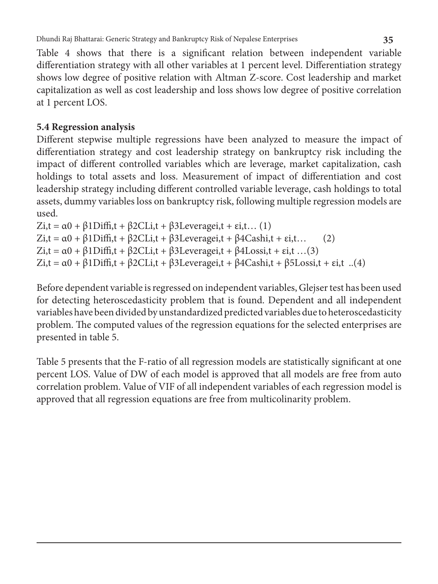Table 4 shows that there is a significant relation between independent variable differentiation strategy with all other variables at 1 percent level. Differentiation strategy shows low degree of positive relation with Altman Z-score. Cost leadership and market capitalization as well as cost leadership and loss shows low degree of positive correlation at 1 percent LOS.

## **5.4 Regression analysis**

Different stepwise multiple regressions have been analyzed to measure the impact of differentiation strategy and cost leadership strategy on bankruptcy risk including the impact of different controlled variables which are leverage, market capitalization, cash holdings to total assets and loss. Measurement of impact of differentiation and cost leadership strategy including different controlled variable leverage, cash holdings to total assets, dummy variables loss on bankruptcy risk, following multiple regression models are used.

Zi,t =  $\alpha$ 0 +  $\beta$ 1Diffi,t +  $\beta$ 2CLi,t +  $\beta$ 3Leveragei,t + εi,t... (1) Zi,t =  $\alpha$ 0 +  $\beta$ 1Diffi,t +  $\beta$ 2CLi,t +  $\beta$ 3Leveragei,t +  $\beta$ 4Cashi,t + εi,t... (2) Zi,t =  $\alpha$ 0 +  $\beta$ 1Diffi,t +  $\beta$ 2CLi,t +  $\beta$ 3Leveragei,t +  $\beta$ 4Lossi,t + εi,t ...(3) Zi,t =  $\alpha$ 0 +  $\beta$ 1Diffi,t +  $\beta$ 2CLi,t +  $\beta$ 3Leveragei,t +  $\beta$ 4Cashi,t +  $\beta$ 5Lossi,t + εi,t ..(4)

Before dependent variable is regressed on independent variables, Glejser test has been used for detecting heteroscedasticity problem that is found. Dependent and all independent variables have been divided by unstandardized predicted variables due to heteroscedasticity problem. The computed values of the regression equations for the selected enterprises are presented in table 5.

Table 5 presents that the F-ratio of all regression models are statistically significant at one percent LOS. Value of DW of each model is approved that all models are free from auto correlation problem. Value of VIF of all independent variables of each regression model is approved that all regression equations are free from multicolinarity problem.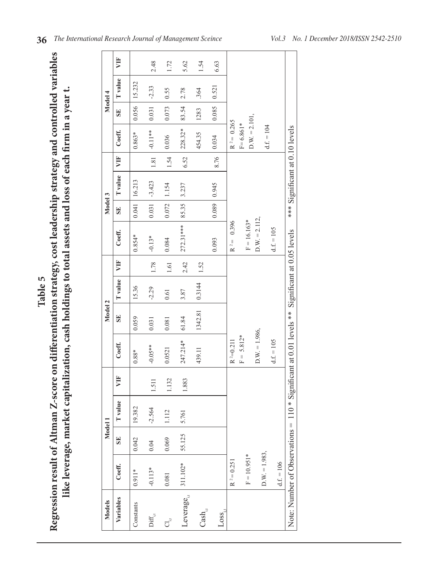| <b>Models</b>                                      |                 | Model 1   |          |       |                                                                | Model 2 |                |      |                  | Model 3 |                                |        |                                 |       | Model 4        |      |
|----------------------------------------------------|-----------------|-----------|----------|-------|----------------------------------------------------------------|---------|----------------|------|------------------|---------|--------------------------------|--------|---------------------------------|-------|----------------|------|
| Variables                                          | Coeff.          | <b>SE</b> | Tvalue   | È     | Coeff.                                                         | SE      | <b>T</b> value | 買    | Coeff.           | SE      | <b>T</b> value                 | VIF    | Coeff.                          | SE    | <b>T</b> value | È    |
| Constants                                          | $0.911*$        | 0.042     | 19.382   |       | $0.88*$                                                        | 0.059   | 15.36          |      | $0.854*$         | 0.041   | 16.213                         |        | $0.863*$                        | 0.056 | 15.232         |      |
| $\operatorname{Diff}_{{\mathfrak{g}}}$             | $-0.113*$       | 0.04      | $-2.564$ | 1.511 | $-0.05**$                                                      | 0.031   | $-2.29$        | 1.78 | $-0.13*$         | 0.031   | $-3.423$                       | $1.81$ | $-0.11**$                       | 0.031 | $-2.33$        | 2.48 |
| ರ್                                                 | 0.081           | 0.069     | 1.112    | 1.132 | 0.0521                                                         | 0.081   | 0.61           | 1.61 | 0.084            | 0.072   | 1.154                          | 1.54   | 0.036                           | 0.073 | 0.55           | 1.72 |
| Leverage.                                          | 311.102*        | 55.125    | 5.761    | 1.883 | 247.214*                                                       | 61.84   | 3.87           | 2.42 | $272.31***$      | 85.35   | 3.237                          | 6.52   | $228.32*$                       | 83.54 | 2.78           | 5.62 |
| $\mathbf{Cash}_{_{\!\!{\}_{\!\!\mathbb{N}\,\!\!}}$ |                 |           |          |       | 439.11                                                         | 1342.81 | 0.3144         | 1.52 |                  |         |                                |        | 454.35                          | 1283  | .364           | 1.54 |
| $Loss_{i}$                                         |                 |           |          |       |                                                                |         |                |      | 0.093            | 0.089   | 0.945                          | 8.76   | 0.034                           | 0.085 | 0.521          | 6.63 |
|                                                    | $R^2 = 0.251$   |           |          |       | $R^2=0.211$                                                    |         |                |      | 0.396<br>$R^2 =$ |         |                                |        | $R^2 = 0.265$                   |       |                |      |
|                                                    | $F = 10.951*$   |           |          |       | $F = 5.812*$                                                   |         |                |      | $F = 16.163*$    |         |                                |        | $D.W. = 2.101,$<br>$F = 6.861*$ |       |                |      |
|                                                    | $D.W. = 1.983,$ |           |          |       | $D.W. = 1.986,$                                                |         |                |      | $D.W. = 2.112$   |         |                                |        |                                 |       |                |      |
|                                                    | $d.f. = 106$    |           |          |       | $df. = 105$                                                    |         |                |      | $d.f. = 105$     |         |                                |        | $d.f. = 104$                    |       |                |      |
| Note: Number of Observations =                     |                 |           |          |       | 110 * Significant at 0.01 levels ** Significant at 0.05 levels |         |                |      |                  |         | *** Significant at 0.10 levels |        |                                 |       |                |      |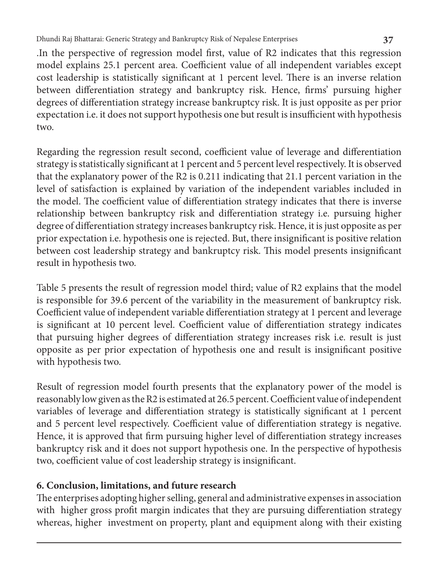Dhundi Raj Bhattarai: Generic Strategy and Bankruptcy Risk of Nepalese Enterprises **37**

.In the perspective of regression model first, value of R2 indicates that this regression model explains 25.1 percent area. Coefficient value of all independent variables except cost leadership is statistically significant at 1 percent level. There is an inverse relation between differentiation strategy and bankruptcy risk. Hence, firms' pursuing higher degrees of differentiation strategy increase bankruptcy risk. It is just opposite as per prior expectation i.e. it does not support hypothesis one but result is insufficient with hypothesis two.

Regarding the regression result second, coefficient value of leverage and differentiation strategy is statistically significant at 1 percent and 5 percent level respectively. It is observed that the explanatory power of the R2 is 0.211 indicating that 21.1 percent variation in the level of satisfaction is explained by variation of the independent variables included in the model. The coefficient value of differentiation strategy indicates that there is inverse relationship between bankruptcy risk and differentiation strategy i.e. pursuing higher degree of differentiation strategy increases bankruptcy risk. Hence, it is just opposite as per prior expectation i.e. hypothesis one is rejected. But, there insignificant is positive relation between cost leadership strategy and bankruptcy risk. This model presents insignificant result in hypothesis two.

Table 5 presents the result of regression model third; value of R2 explains that the model is responsible for 39.6 percent of the variability in the measurement of bankruptcy risk. Coefficient value of independent variable differentiation strategy at 1 percent and leverage is significant at 10 percent level. Coefficient value of differentiation strategy indicates that pursuing higher degrees of differentiation strategy increases risk i.e. result is just opposite as per prior expectation of hypothesis one and result is insignificant positive with hypothesis two.

Result of regression model fourth presents that the explanatory power of the model is reasonably low given as the R2 is estimated at 26.5 percent. Coefficient value of independent variables of leverage and differentiation strategy is statistically significant at 1 percent and 5 percent level respectively. Coefficient value of differentiation strategy is negative. Hence, it is approved that firm pursuing higher level of differentiation strategy increases bankruptcy risk and it does not support hypothesis one. In the perspective of hypothesis two, coefficient value of cost leadership strategy is insignificant.

## **6. Conclusion, limitations, and future research**

The enterprises adopting higher selling, general and administrative expenses in association with higher gross profit margin indicates that they are pursuing differentiation strategy whereas, higher investment on property, plant and equipment along with their existing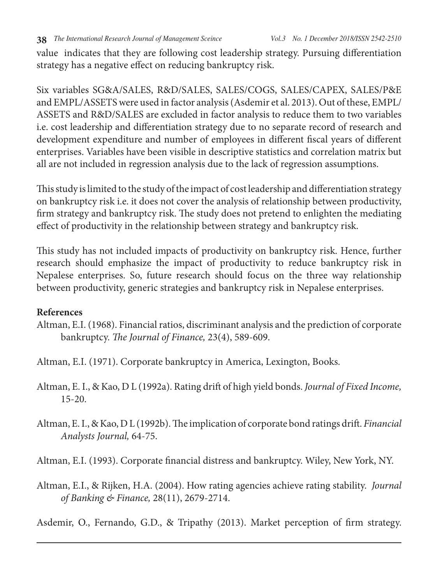**38** *The International Research Journal of Management Sceince Vol.3 No. 1 December 2018/ISSN 2542-2510*

value indicates that they are following cost leadership strategy. Pursuing differentiation strategy has a negative effect on reducing bankruptcy risk.

Six variables SG&A/SALES, R&D/SALES, SALES/COGS, SALES/CAPEX, SALES/P&E and EMPL/ASSETS were used in factor analysis (Asdemir et al. 2013). Out of these, EMPL/ ASSETS and R&D/SALES are excluded in factor analysis to reduce them to two variables i.e. cost leadership and differentiation strategy due to no separate record of research and development expenditure and number of employees in different fiscal years of different enterprises. Variables have been visible in descriptive statistics and correlation matrix but all are not included in regression analysis due to the lack of regression assumptions.

This study is limited to the study of the impact of cost leadership and differentiation strategy on bankruptcy risk i.e. it does not cover the analysis of relationship between productivity, firm strategy and bankruptcy risk. The study does not pretend to enlighten the mediating effect of productivity in the relationship between strategy and bankruptcy risk.

This study has not included impacts of productivity on bankruptcy risk. Hence, further research should emphasize the impact of productivity to reduce bankruptcy risk in Nepalese enterprises. So, future research should focus on the three way relationship between productivity, generic strategies and bankruptcy risk in Nepalese enterprises.

#### **References**

Altman, E.I. (1968). Financial ratios, discriminant analysis and the prediction of corporate bankruptcy. *The Journal of Finance,* 23(4), 589-609.

Altman, E.I. (1971). Corporate bankruptcy in America, Lexington, Books.

- Altman, E. I., & Kao, D L (1992a). Rating drift of high yield bonds. *Journal of Fixed Income,* 15-20.
- Altman, E. I., & Kao, D L (1992b). The implication of corporate bond ratings drift. *Financial Analysts Journal,* 64-75.

Altman, E.I. (1993). Corporate financial distress and bankruptcy. Wiley, New York, NY.

Altman, E.I., & Rijken, H.A. (2004). How rating agencies achieve rating stability. *Journal of Banking & Finance,* 28(11), 2679-2714.

Asdemir, O., Fernando, G.D., & Tripathy (2013). Market perception of firm strategy.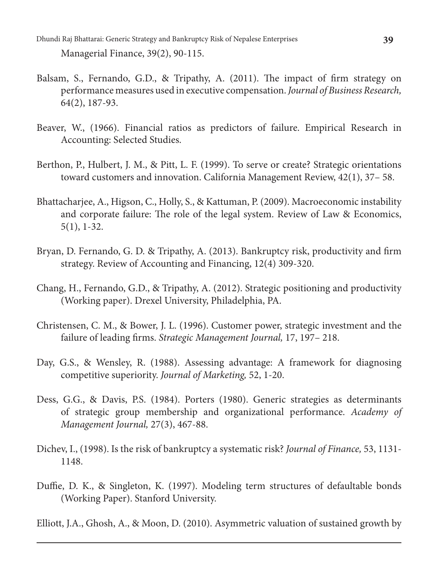Dhundi Raj Bhattarai: Generic Strategy and Bankruptcy Risk of Nepalese Enterprises **39** Managerial Finance, 39(2), 90-115.

- Balsam, S., Fernando, G.D., & Tripathy, A. (2011). The impact of firm strategy on performance measures used in executive compensation. *Journal of Business Research,*  64(2), 187-93.
- Beaver, W., (1966). Financial ratios as predictors of failure. Empirical Research in Accounting: Selected Studies.
- Berthon, P., Hulbert, J. M., & Pitt, L. F. (1999). To serve or create? Strategic orientations toward customers and innovation. California Management Review, 42(1), 37– 58.
- Bhattacharjee, A., Higson, C., Holly, S., & Kattuman, P. (2009). Macroeconomic instability and corporate failure: The role of the legal system. Review of Law & Economics, 5(1), 1-32.
- Bryan, D. Fernando, G. D. & Tripathy, A. (2013). Bankruptcy risk, productivity and firm strategy. Review of Accounting and Financing, 12(4) 309-320.
- Chang, H., Fernando, G.D., & Tripathy, A. (2012). Strategic positioning and productivity (Working paper). Drexel University, Philadelphia, PA.
- Christensen, C. M., & Bower, J. L. (1996). Customer power, strategic investment and the failure of leading firms. *Strategic Management Journal,* 17, 197– 218.
- Day, G.S., & Wensley, R. (1988). Assessing advantage: A framework for diagnosing competitive superiority. *Journal of Marketing,* 52, 1-20.
- Dess, G.G., & Davis, P.S. (1984). Porters (1980). Generic strategies as determinants of strategic group membership and organizational performance. *Academy of Management Journal,* 27(3), 467-88.
- Dichev, I., (1998). Is the risk of bankruptcy a systematic risk? *Journal of Finance,* 53, 1131- 1148.
- Duffie, D. K., & Singleton, K. (1997). Modeling term structures of defaultable bonds (Working Paper). Stanford University.

Elliott, J.A., Ghosh, A., & Moon, D. (2010). Asymmetric valuation of sustained growth by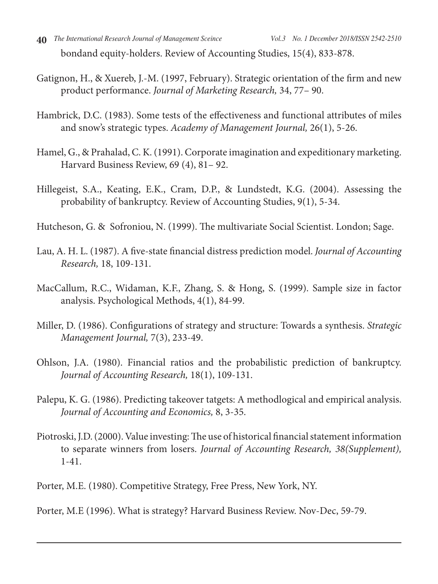bondand equity-holders. Review of Accounting Studies, 15(4), 833-878.

- Gatignon, H., & Xuereb, J.-M. (1997, February). Strategic orientation of the firm and new product performance. *Journal of Marketing Research,* 34, 77– 90.
- Hambrick, D.C. (1983). Some tests of the effectiveness and functional attributes of miles and snow's strategic types. *Academy of Management Journal,* 26(1), 5-26.
- Hamel, G., & Prahalad, C. K. (1991). Corporate imagination and expeditionary marketing. Harvard Business Review, 69 (4), 81– 92.
- Hillegeist, S.A., Keating, E.K., Cram, D.P., & Lundstedt, K.G. (2004). Assessing the probability of bankruptcy. Review of Accounting Studies, 9(1), 5-34.
- Hutcheson, G. & Sofroniou, N. (1999). The multivariate Social Scientist. London; Sage.
- Lau, A. H. L. (1987). A five-state financial distress prediction model. *Journal of Accounting Research,* 18, 109-131.
- MacCallum, R.C., Widaman, K.F., Zhang, S. & Hong, S. (1999). Sample size in factor analysis. Psychological Methods, 4(1), 84-99.
- Miller, D. (1986). Configurations of strategy and structure: Towards a synthesis. *Strategic Management Journal,* 7(3), 233-49.
- Ohlson, J.A. (1980). Financial ratios and the probabilistic prediction of bankruptcy. *Journal of Accounting Research,* 18(1), 109-131.
- Palepu, K. G. (1986). Predicting takeover tatgets: A methodlogical and empirical analysis. *Journal of Accounting and Economics,* 8, 3-35.
- Piotroski, J.D. (2000). Value investing: The use of historical financial statement information to separate winners from losers. *Journal of Accounting Research, 38(Supplement),* 1-41.

Porter, M.E. (1980). Competitive Strategy, Free Press, New York, NY.

Porter, M.E (1996). What is strategy? Harvard Business Review. Nov-Dec, 59-79.